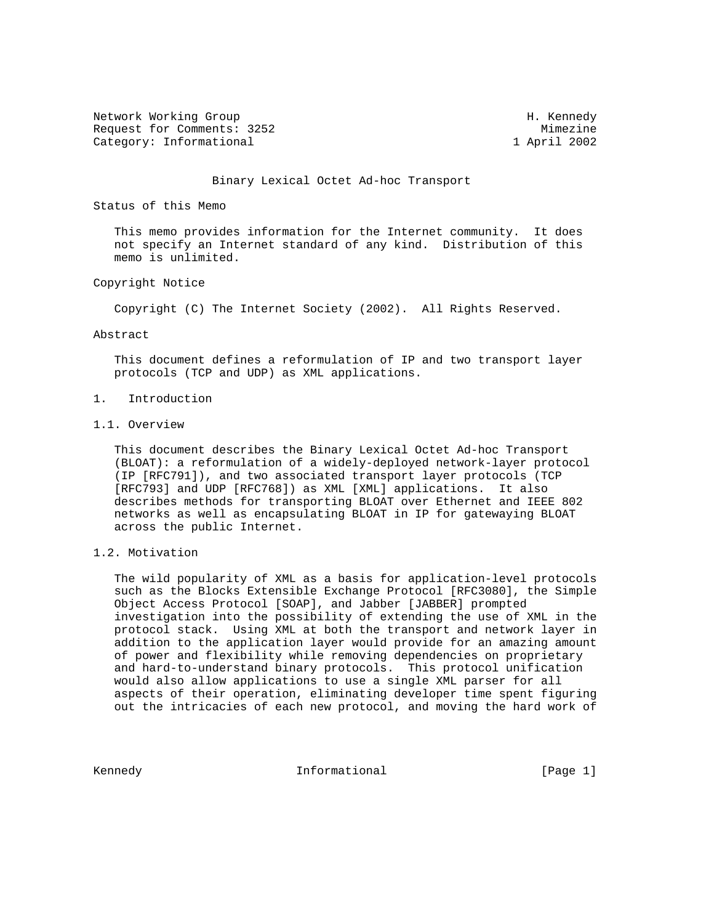Network Working Group Network Working Group H. Kennedy Request for Comments: 3252 Mimezine Category: Informational 1 April 2002

#### Binary Lexical Octet Ad-hoc Transport

Status of this Memo

 This memo provides information for the Internet community. It does not specify an Internet standard of any kind. Distribution of this memo is unlimited.

# Copyright Notice

Copyright (C) The Internet Society (2002). All Rights Reserved.

#### Abstract

 This document defines a reformulation of IP and two transport layer protocols (TCP and UDP) as XML applications.

# 1. Introduction

### 1.1. Overview

 This document describes the Binary Lexical Octet Ad-hoc Transport (BLOAT): a reformulation of a widely-deployed network-layer protocol (IP [RFC791]), and two associated transport layer protocols (TCP [RFC793] and UDP [RFC768]) as XML [XML] applications. It also describes methods for transporting BLOAT over Ethernet and IEEE 802 networks as well as encapsulating BLOAT in IP for gatewaying BLOAT across the public Internet.

# 1.2. Motivation

 The wild popularity of XML as a basis for application-level protocols such as the Blocks Extensible Exchange Protocol [RFC3080], the Simple Object Access Protocol [SOAP], and Jabber [JABBER] prompted investigation into the possibility of extending the use of XML in the protocol stack. Using XML at both the transport and network layer in addition to the application layer would provide for an amazing amount of power and flexibility while removing dependencies on proprietary and hard-to-understand binary protocols. This protocol unification would also allow applications to use a single XML parser for all aspects of their operation, eliminating developer time spent figuring out the intricacies of each new protocol, and moving the hard work of

Kennedy **Informational Informational** [Page 1]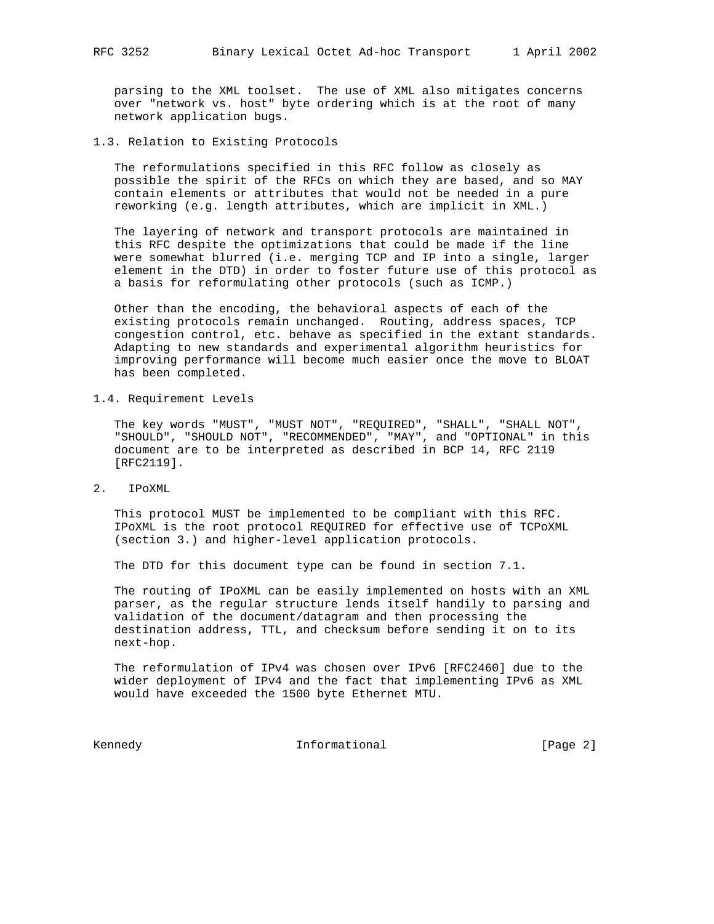parsing to the XML toolset. The use of XML also mitigates concerns over "network vs. host" byte ordering which is at the root of many network application bugs.

1.3. Relation to Existing Protocols

 The reformulations specified in this RFC follow as closely as possible the spirit of the RFCs on which they are based, and so MAY contain elements or attributes that would not be needed in a pure reworking (e.g. length attributes, which are implicit in XML.)

 The layering of network and transport protocols are maintained in this RFC despite the optimizations that could be made if the line were somewhat blurred (i.e. merging TCP and IP into a single, larger element in the DTD) in order to foster future use of this protocol as a basis for reformulating other protocols (such as ICMP.)

 Other than the encoding, the behavioral aspects of each of the existing protocols remain unchanged. Routing, address spaces, TCP congestion control, etc. behave as specified in the extant standards. Adapting to new standards and experimental algorithm heuristics for improving performance will become much easier once the move to BLOAT has been completed.

1.4. Requirement Levels

 The key words "MUST", "MUST NOT", "REQUIRED", "SHALL", "SHALL NOT", "SHOULD", "SHOULD NOT", "RECOMMENDED", "MAY", and "OPTIONAL" in this document are to be interpreted as described in BCP 14, RFC 2119 [RFC2119].

2. IPoXML

 This protocol MUST be implemented to be compliant with this RFC. IPoXML is the root protocol REQUIRED for effective use of TCPoXML (section 3.) and higher-level application protocols.

The DTD for this document type can be found in section 7.1.

 The routing of IPoXML can be easily implemented on hosts with an XML parser, as the regular structure lends itself handily to parsing and validation of the document/datagram and then processing the destination address, TTL, and checksum before sending it on to its next-hop.

 The reformulation of IPv4 was chosen over IPv6 [RFC2460] due to the wider deployment of IPv4 and the fact that implementing IPv6 as XML would have exceeded the 1500 byte Ethernet MTU.

Kennedy **Informational** [Page 2]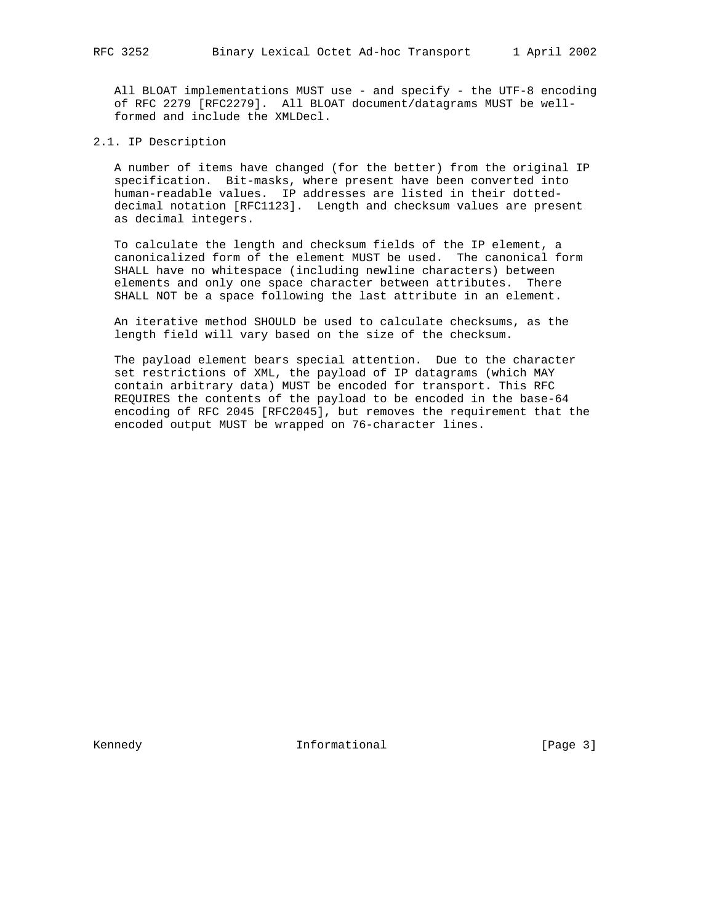All BLOAT implementations MUST use - and specify - the UTF-8 encoding of RFC 2279 [RFC2279]. All BLOAT document/datagrams MUST be well formed and include the XMLDecl.

2.1. IP Description

 A number of items have changed (for the better) from the original IP specification. Bit-masks, where present have been converted into human-readable values. IP addresses are listed in their dotted decimal notation [RFC1123]. Length and checksum values are present as decimal integers.

 To calculate the length and checksum fields of the IP element, a canonicalized form of the element MUST be used. The canonical form SHALL have no whitespace (including newline characters) between elements and only one space character between attributes. There SHALL NOT be a space following the last attribute in an element.

 An iterative method SHOULD be used to calculate checksums, as the length field will vary based on the size of the checksum.

 The payload element bears special attention. Due to the character set restrictions of XML, the payload of IP datagrams (which MAY contain arbitrary data) MUST be encoded for transport. This RFC REQUIRES the contents of the payload to be encoded in the base-64 encoding of RFC 2045 [RFC2045], but removes the requirement that the encoded output MUST be wrapped on 76-character lines.

Kennedy **Informational Informational** [Page 3]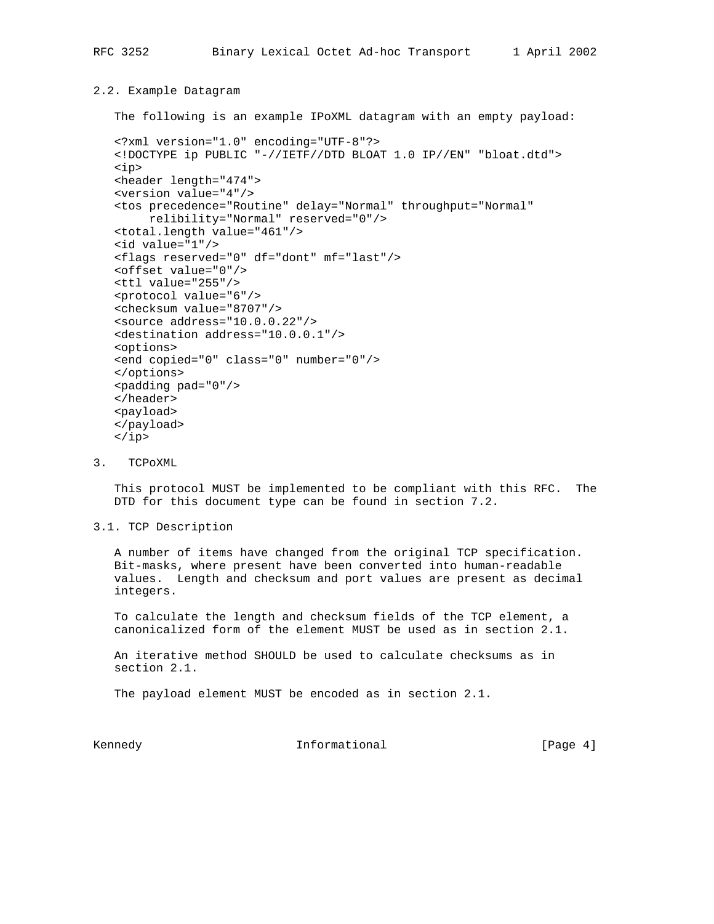# 2.2. Example Datagram

The following is an example IPoXML datagram with an empty payload:

```
 <?xml version="1.0" encoding="UTF-8"?>
 <!DOCTYPE ip PUBLIC "-//IETF//DTD BLOAT 1.0 IP//EN" "bloat.dtd">
 <ip>
 <header length="474">
 <version value="4"/>
 <tos precedence="Routine" delay="Normal" throughput="Normal"
      relibility="Normal" reserved="0"/>
 <total.length value="461"/>
 <id value="1"/>
 <flags reserved="0" df="dont" mf="last"/>
 <offset value="0"/>
 <ttl value="255"/>
 <protocol value="6"/>
 <checksum value="8707"/>
 <source address="10.0.0.22"/>
 <destination address="10.0.0.1"/>
 <options>
 <end copied="0" class="0" number="0"/>
 </options>
 <padding pad="0"/>
 </header>
 <payload>
 </payload>
\langleip>
```
3. TCPoXML

 This protocol MUST be implemented to be compliant with this RFC. The DTD for this document type can be found in section 7.2.

3.1. TCP Description

 A number of items have changed from the original TCP specification. Bit-masks, where present have been converted into human-readable values. Length and checksum and port values are present as decimal integers.

 To calculate the length and checksum fields of the TCP element, a canonicalized form of the element MUST be used as in section 2.1.

 An iterative method SHOULD be used to calculate checksums as in section 2.1.

The payload element MUST be encoded as in section 2.1.

Kennedy **Informational Informational** [Page 4]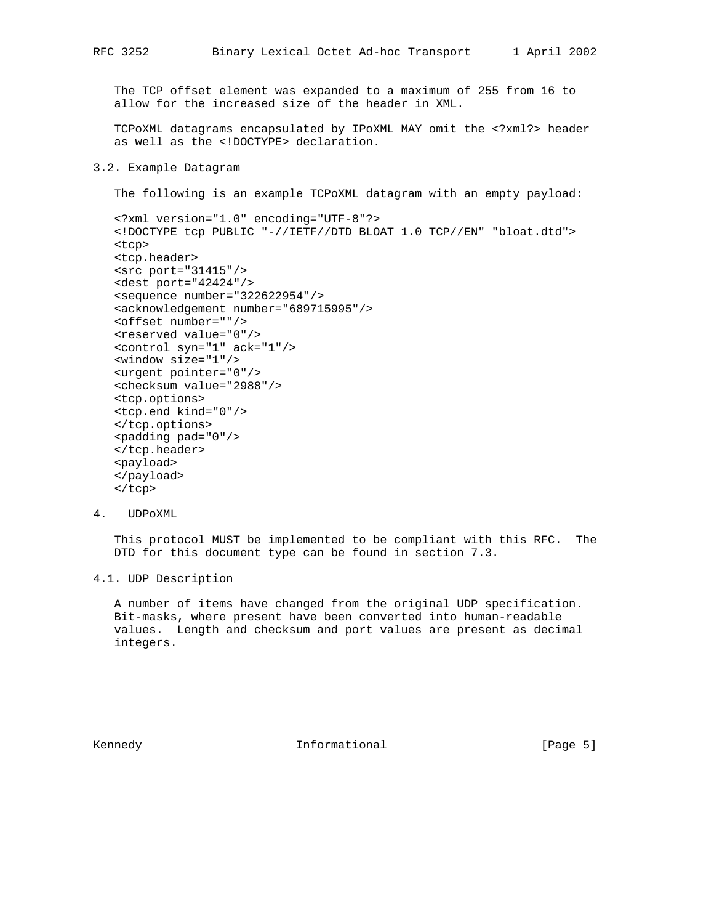The TCP offset element was expanded to a maximum of 255 from 16 to allow for the increased size of the header in XML.

 TCPoXML datagrams encapsulated by IPoXML MAY omit the <?xml?> header as well as the <!DOCTYPE> declaration.

## 3.2. Example Datagram

The following is an example TCPoXML datagram with an empty payload:

```
 <?xml version="1.0" encoding="UTF-8"?>
 <!DOCTYPE tcp PUBLIC "-//IETF//DTD BLOAT 1.0 TCP//EN" "bloat.dtd">
 <tcp>
 <tcp.header>
 <src port="31415"/>
 <dest port="42424"/>
 <sequence number="322622954"/>
 <acknowledgement number="689715995"/>
 <offset number=""/>
 <reserved value="0"/>
 <control syn="1" ack="1"/>
 <window size="1"/>
 <urgent pointer="0"/>
 <checksum value="2988"/>
 <tcp.options>
 <tcp.end kind="0"/>
 </tcp.options>
 <padding pad="0"/>
 </tcp.header>
 <payload>
 </payload>
 </tcp>
```
4. UDPoXML

 This protocol MUST be implemented to be compliant with this RFC. The DTD for this document type can be found in section 7.3.

4.1. UDP Description

 A number of items have changed from the original UDP specification. Bit-masks, where present have been converted into human-readable values. Length and checksum and port values are present as decimal integers.

Kennedy **Informational Informational** [Page 5]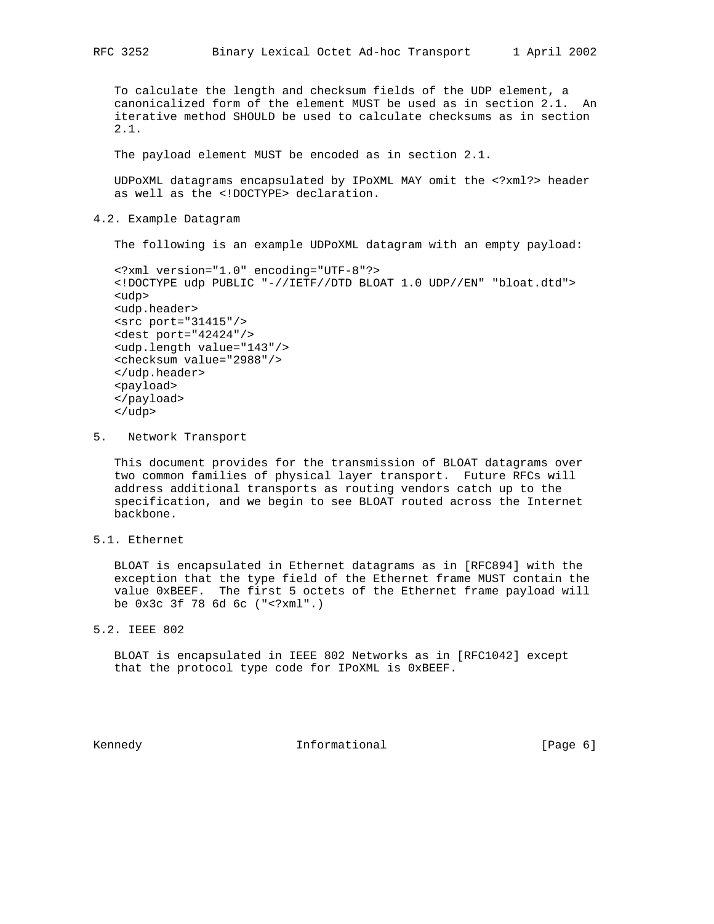To calculate the length and checksum fields of the UDP element, a canonicalized form of the element MUST be used as in section 2.1. An iterative method SHOULD be used to calculate checksums as in section 2.1.

The payload element MUST be encoded as in section 2.1.

 UDPoXML datagrams encapsulated by IPoXML MAY omit the <?xml?> header as well as the <!DOCTYPE> declaration.

4.2. Example Datagram

The following is an example UDPoXML datagram with an empty payload:

```
 <?xml version="1.0" encoding="UTF-8"?>
 <!DOCTYPE udp PUBLIC "-//IETF//DTD BLOAT 1.0 UDP//EN" "bloat.dtd">
 <udp>
 <udp.header>
 <src port="31415"/>
 <dest port="42424"/>
 <udp.length value="143"/>
 <checksum value="2988"/>
 </udp.header>
 <payload>
 </payload>
 </udp>
```
5. Network Transport

 This document provides for the transmission of BLOAT datagrams over two common families of physical layer transport. Future RFCs will address additional transports as routing vendors catch up to the specification, and we begin to see BLOAT routed across the Internet backbone.

5.1. Ethernet

 BLOAT is encapsulated in Ethernet datagrams as in [RFC894] with the exception that the type field of the Ethernet frame MUST contain the value 0xBEEF. The first 5 octets of the Ethernet frame payload will be 0x3c 3f 78 6d 6c ("<?xml".)

5.2. IEEE 802

 BLOAT is encapsulated in IEEE 802 Networks as in [RFC1042] except that the protocol type code for IPoXML is 0xBEEF.

Kennedy **Informational Informational** [Page 6]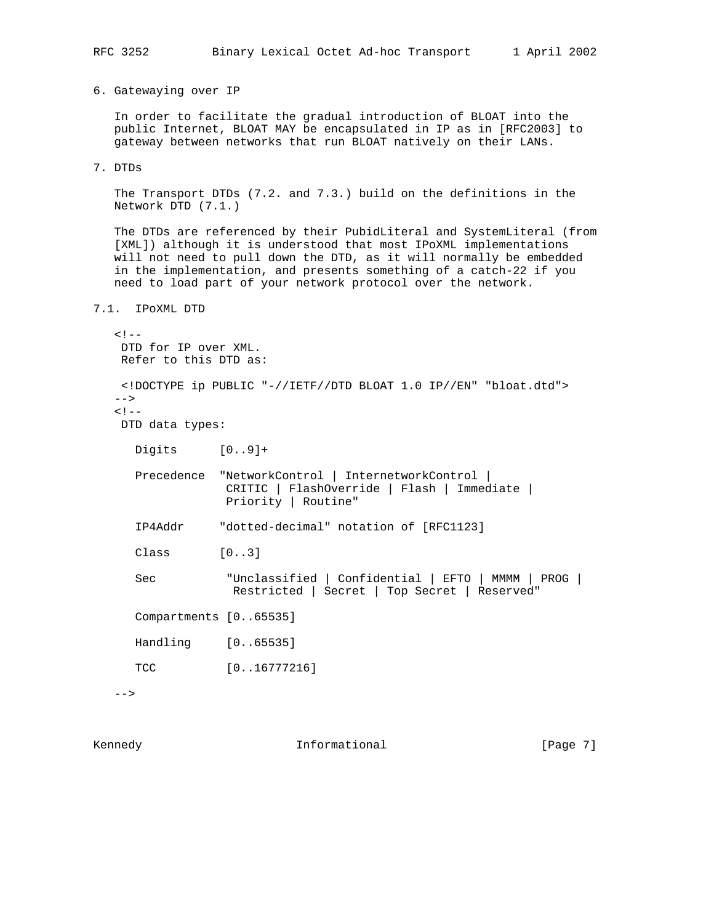6. Gatewaying over IP

 In order to facilitate the gradual introduction of BLOAT into the public Internet, BLOAT MAY be encapsulated in IP as in [RFC2003] to gateway between networks that run BLOAT natively on their LANs.

7. DTDs

 The Transport DTDs (7.2. and 7.3.) build on the definitions in the Network DTD (7.1.)

The DTDs are referenced by their PubidLiteral and SystemLiteral (from [XML]) although it is understood that most IPoXML implementations will not need to pull down the DTD, as it will normally be embedded in the implementation, and presents something of a catch-22 if you need to load part of your network protocol over the network.

7.1. IPoXML DTD

```
< ! -- DTD for IP over XML.
 Refer to this DTD as:
 <!DOCTYPE ip PUBLIC "-//IETF//DTD BLOAT 1.0 IP//EN" "bloat.dtd">
--&\lt! --
 DTD data types:
   Digits [0..9]+
   Precedence "NetworkControl | InternetworkControl |
               CRITIC | FlashOverride | Flash | Immediate |
                Priority | Routine"
   IP4Addr "dotted-decimal" notation of [RFC1123]
   Class [0..3]
   Sec "Unclassified | Confidential | EFTO | MMMM | PROG |
                 Restricted | Secret | Top Secret | Reserved"
   Compartments [0..65535]
   Handling [0..65535]
  TCC [0..16777216]
```
 $--&>$ 

Kennedy **Informational Informational** [Page 7]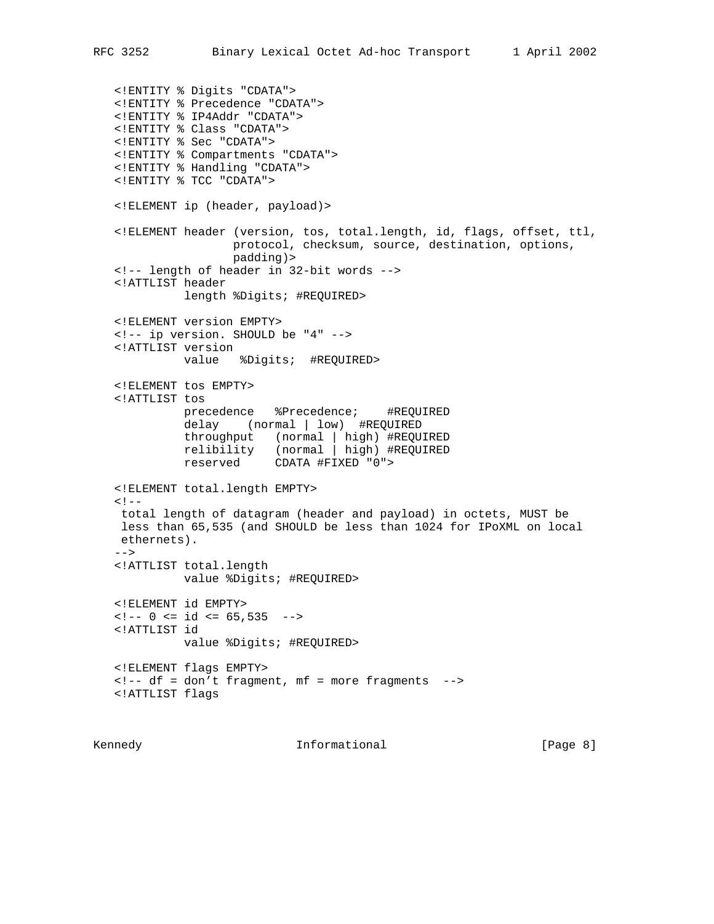<!ENTITY % Digits "CDATA"> <!ENTITY % Precedence "CDATA"> <!ENTITY % IP4Addr "CDATA"> <!ENTITY % Class "CDATA"> <!ENTITY % Sec "CDATA"> <!ENTITY % Compartments "CDATA"> <!ENTITY % Handling "CDATA"> <!ENTITY % TCC "CDATA"> <!ELEMENT ip (header, payload)> <!ELEMENT header (version, tos, total.length, id, flags, offset, ttl, protocol, checksum, source, destination, options, padding)> <!-- length of header in 32-bit words --> <!ATTLIST header length %Digits; #REQUIRED> <!ELEMENT version EMPTY> <!-- ip version. SHOULD be "4" --> <!ATTLIST version value %Digits; #REQUIRED> <!ELEMENT tos EMPTY> <!ATTLIST tos precedence %Precedence; #REQUIRED delay (normal | low) #REQUIRED throughput (normal | high) #REQUIRED relibility (normal | high) #REQUIRED reserved CDATA #FIXED "0"> <!ELEMENT total.length EMPTY>  $<$ !  $$  total length of datagram (header and payload) in octets, MUST be less than 65,535 (and SHOULD be less than 1024 for IPoXML on local ethernets).  $--$  <!ATTLIST total.length value %Digits; #REQUIRED> <!ELEMENT id EMPTY>  $\langle - - 0 \rangle$   $\langle - 10 \rangle$   $\langle - 65, 535 \rangle$   $\langle - - 10 \rangle$  <!ATTLIST id value %Digits; #REQUIRED> <!ELEMENT flags EMPTY> <!-- df = don't fragment, mf = more fragments --> <!ATTLIST flags

Kennedy **Informational Informational** [Page 8]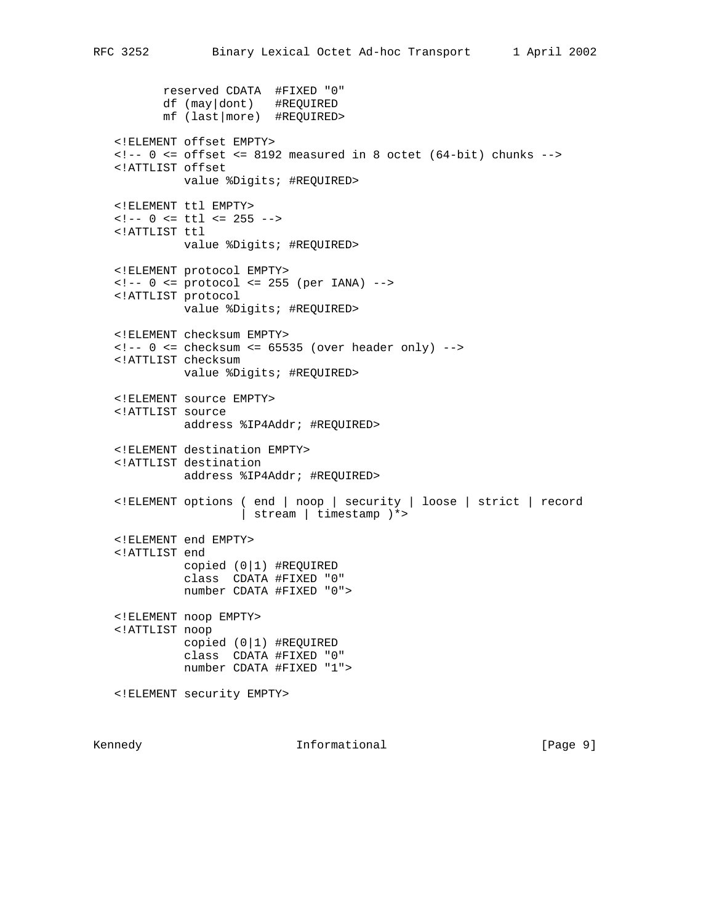reserved CDATA #FIXED "0" df (may|dont) #REQUIRED mf (last|more) #REQUIRED> <!ELEMENT offset EMPTY>  $\langle -1 - 0 \rangle$   $\langle -2 - 0 \rangle$  = offset  $\langle -2 - 8192 \rangle$  measured in 8 octet (64-bit) chunks --> <!ATTLIST offset value %Digits; #REQUIRED> <!ELEMENT ttl EMPTY>  $\langle - - 0 \rangle$   $\langle - \rangle$  ttl  $\langle - 255 \rangle$  <!ATTLIST ttl value %Digits; #REQUIRED> <!ELEMENT protocol EMPTY>  $\langle -1 - 0 \rangle$   $\langle -255 \rangle$  (per IANA)  $\langle -255 \rangle$  <!ATTLIST protocol value %Digits; #REQUIRED> <!ELEMENT checksum EMPTY>  $\langle -2 - 0 \rangle$   $\langle -2 - 0 \rangle$  = checksum  $\langle -2 - 65535 \rangle$  (over header only)  $\langle -2 - 8452 \rangle$  <!ATTLIST checksum value %Digits; #REQUIRED> <!ELEMENT source EMPTY> <!ATTLIST source address %IP4Addr; #REQUIRED> <!ELEMENT destination EMPTY> <!ATTLIST destination address %IP4Addr; #REQUIRED> <!ELEMENT options ( end | noop | security | loose | strict | record | stream | timestamp )\*> <!ELEMENT end EMPTY> <!ATTLIST end copied (0|1) #REQUIRED class CDATA #FIXED "0" number CDATA #FIXED "0"> <!ELEMENT noop EMPTY> <!ATTLIST noop copied (0|1) #REQUIRED class CDATA #FIXED "0" number CDATA #FIXED "1"> <!ELEMENT security EMPTY>

Kennedy **Informational Informational** [Page 9]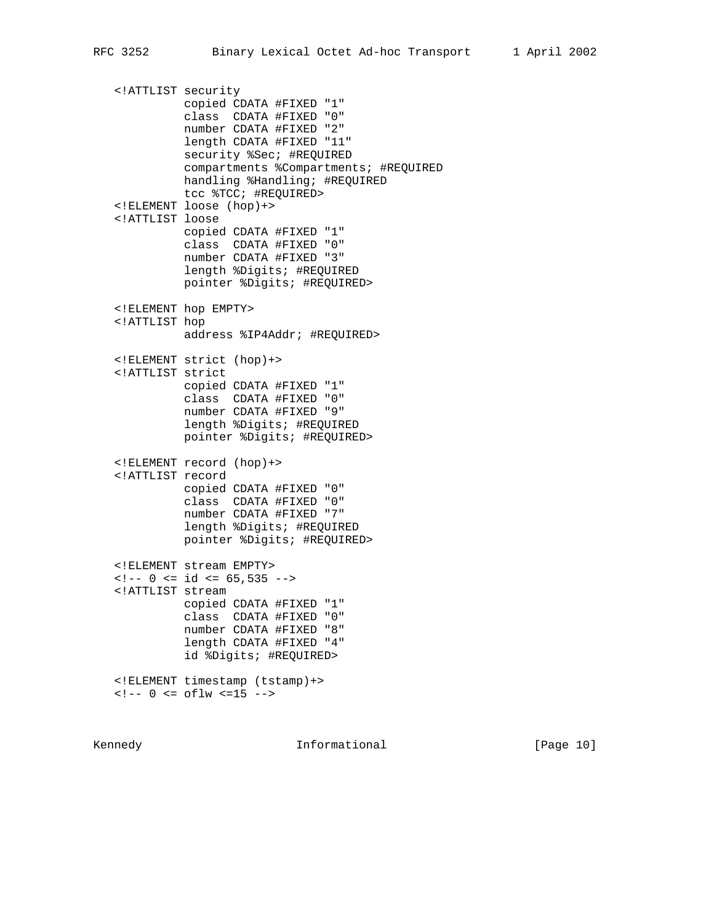<!ATTLIST security copied CDATA #FIXED "1" class CDATA #FIXED "0" number CDATA #FIXED "2" length CDATA #FIXED "11" security %Sec; #REQUIRED compartments %Compartments; #REQUIRED handling %Handling; #REQUIRED tcc %TCC; #REQUIRED> <!ELEMENT loose (hop)+> <!ATTLIST loose copied CDATA #FIXED "1" class CDATA #FIXED "0" number CDATA #FIXED "3" length %Digits; #REQUIRED pointer %Digits; #REQUIRED> <!ELEMENT hop EMPTY> <!ATTLIST hop address %IP4Addr; #REQUIRED> <!ELEMENT strict (hop)+> <!ATTLIST strict copied CDATA #FIXED "1" class CDATA #FIXED "0" number CDATA #FIXED "9" length %Digits; #REQUIRED pointer %Digits; #REQUIRED> <!ELEMENT record (hop)+> <!ATTLIST record copied CDATA #FIXED "0" class CDATA #FIXED "0" number CDATA #FIXED "7" length %Digits; #REQUIRED pointer %Digits; #REQUIRED> <!ELEMENT stream EMPTY>  $\langle -2 - 0 \rangle$   $\langle -1 - 0 \rangle$   $\langle -1 - 0 \rangle$   $\langle -1 - 0 \rangle$   $\langle -1 - 0 \rangle$   $\langle -1 - 0 \rangle$   $\langle -1 - 0 \rangle$   $\langle -1 - 0 \rangle$  <!ATTLIST stream copied CDATA #FIXED "1" class CDATA #FIXED "0" number CDATA #FIXED "8" length CDATA #FIXED "4" id %Digits; #REQUIRED> <!ELEMENT timestamp (tstamp)+>  $\langle -1 - 0 \rangle = \text{of} \, \text{Im} \, \langle -15 \rangle - \rangle$ 

Kennedy **Informational Informational** [Page 10]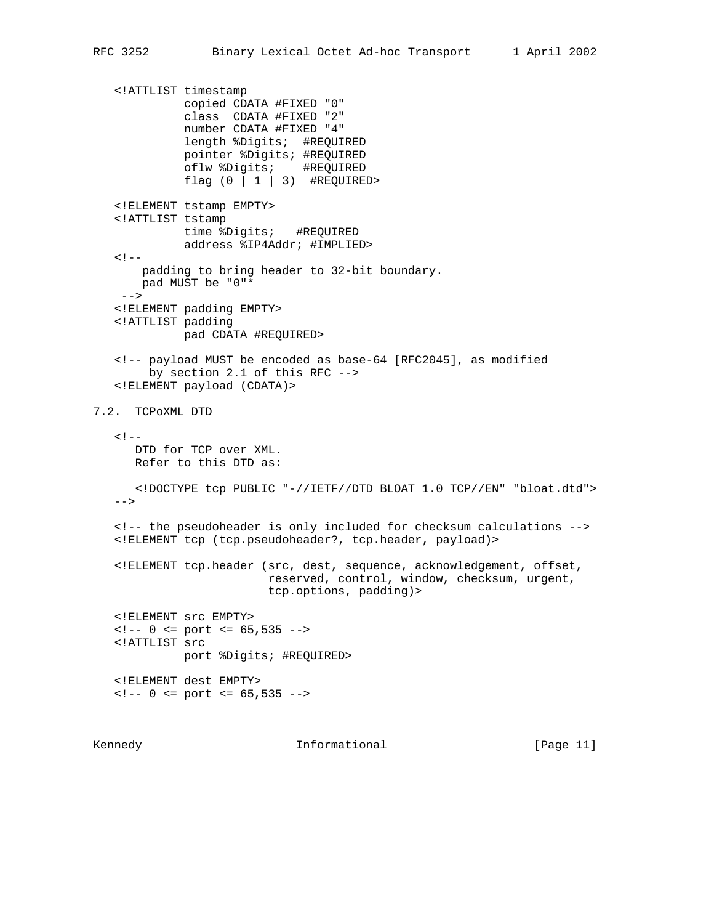<!ATTLIST timestamp copied CDATA #FIXED "0" class CDATA #FIXED "2" number CDATA #FIXED "4" length %Digits; #REQUIRED pointer %Digits; #REQUIRED oflw %Digits; #REQUIRED flag  $(0 \mid 1 \mid 3)$  #REQUIRED> <!ELEMENT tstamp EMPTY> <!ATTLIST tstamp time %Digits; #REQUIRED address %IP4Addr; #IMPLIED>  $<$ !  $$  padding to bring header to 32-bit boundary. pad MUST be "0"\*  $--&>$  <!ELEMENT padding EMPTY> <!ATTLIST padding pad CDATA #REQUIRED> <!-- payload MUST be encoded as base-64 [RFC2045], as modified by section 2.1 of this RFC --> <!ELEMENT payload (CDATA)> 7.2. TCPoXML DTD  $< ! - -$  DTD for TCP over XML. Refer to this DTD as: <!DOCTYPE tcp PUBLIC "-//IETF//DTD BLOAT 1.0 TCP//EN" "bloat.dtd">  $--&>$  <!-- the pseudoheader is only included for checksum calculations --> <!ELEMENT tcp (tcp.pseudoheader?, tcp.header, payload)> <!ELEMENT tcp.header (src, dest, sequence, acknowledgement, offset, reserved, control, window, checksum, urgent, tcp.options, padding)> <!ELEMENT src EMPTY>  $\langle - - 0 \rangle$   $\langle - 2 \rangle$  = port  $\langle - 65, 535 \rangle$  <!ATTLIST src port %Digits; #REQUIRED> <!ELEMENT dest EMPTY>  $\langle - - 0 \rangle$   $\langle - 2 \rangle$  = port  $\langle - 65, 535 \rangle$ 

Kennedy **Informational Informational** [Page 11]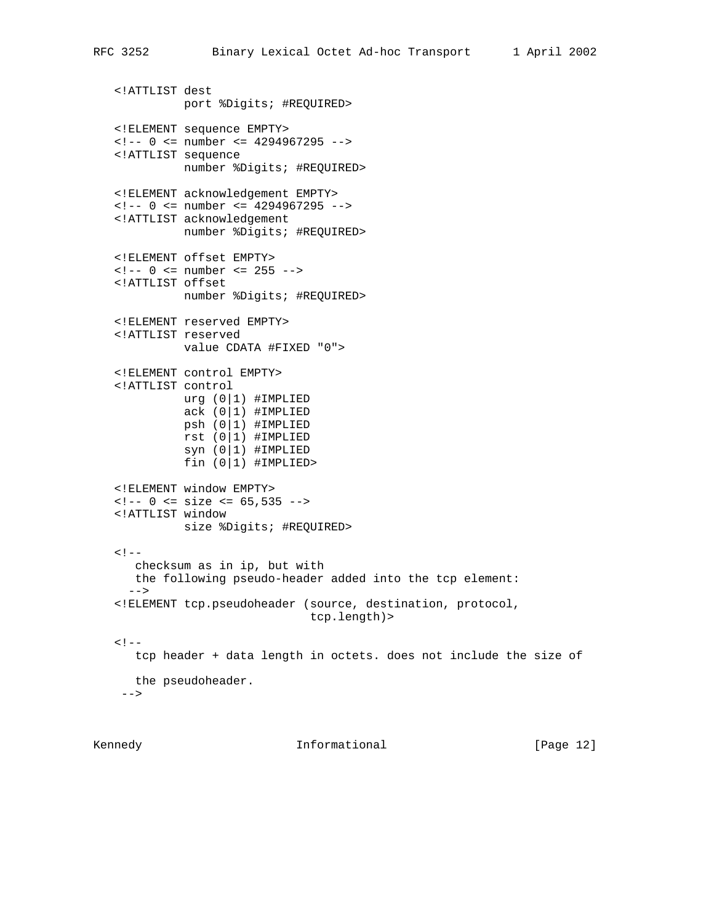```
 <!ATTLIST dest
            port %Digits; #REQUIRED>
 <!ELEMENT sequence EMPTY>
 <!-- 0 <= number <= 4294967295 -->
 <!ATTLIST sequence
           number %Digits; #REQUIRED>
 <!ELEMENT acknowledgement EMPTY>
\langle -1 - 0 \rangle \langle -1 \rangle number \langle -1 \rangle 4294967295 -->
 <!ATTLIST acknowledgement
            number %Digits; #REQUIRED>
 <!ELEMENT offset EMPTY>
\langle -1 - 0 \rangle \langle 1 - 0 \rangle \langle 2 - 1 \rangle <!ATTLIST offset
            number %Digits; #REQUIRED>
 <!ELEMENT reserved EMPTY>
 <!ATTLIST reserved
            value CDATA #FIXED "0">
 <!ELEMENT control EMPTY>
 <!ATTLIST control
            urg (0|1) #IMPLIED
           ack (0|1) #IMPLIED
           psh (0|1) #IMPLIED
           rst (0|1) #IMPLIED
           syn (0|1) #IMPLIED
           fin (0|1) #IMPLIED>
 <!ELEMENT window EMPTY>
\langle - - 0 \rangle \langle - 0 \rangle = size \langle - 65, 535 \rangle -->
 <!ATTLIST window
            size %Digits; #REQUIRED>
< ! - - checksum as in ip, but with
    the following pseudo-header added into the tcp element:
   -->
 <!ELEMENT tcp.pseudoheader (source, destination, protocol,
                                 tcp.length)>
< ! -- tcp header + data length in octets. does not include the size of
   the pseudoheader.
 --&>
```
Kennedy **Informational Informational** [Page 12]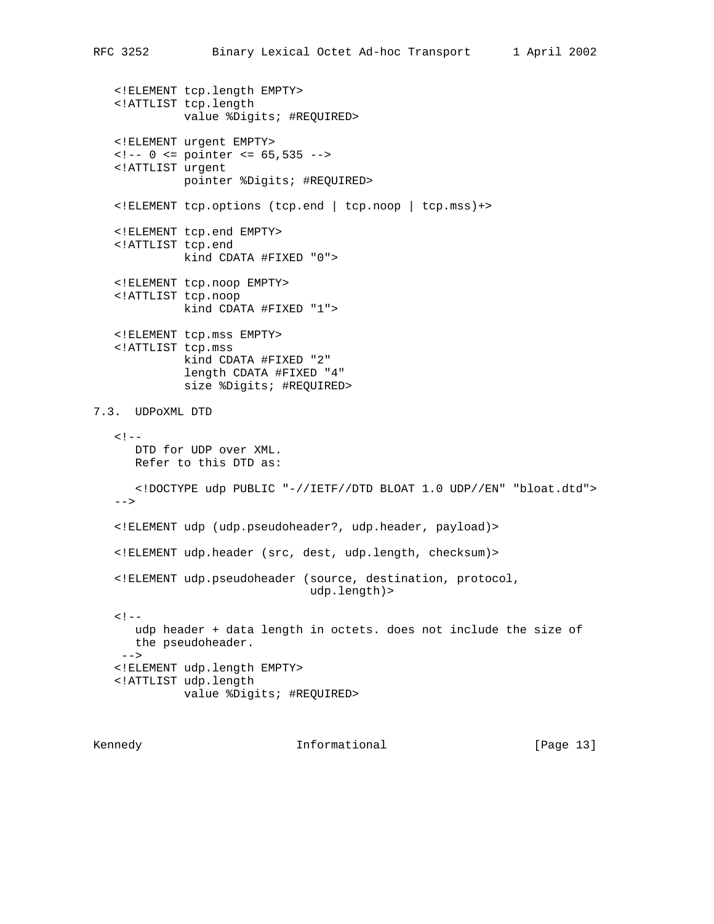<!ELEMENT tcp.length EMPTY> <!ATTLIST tcp.length value %Digits; #REQUIRED> <!ELEMENT urgent EMPTY>  $\langle -2 - 0 \rangle$   $\langle 2 - 0 \rangle$  = pointer  $\langle 2 - 65, 535 \rangle$  --> <!ATTLIST urgent pointer %Digits; #REQUIRED> <!ELEMENT tcp.options (tcp.end | tcp.noop | tcp.mss)+> <!ELEMENT tcp.end EMPTY> <!ATTLIST tcp.end kind CDATA #FIXED "0"> <!ELEMENT tcp.noop EMPTY> <!ATTLIST tcp.noop kind CDATA #FIXED "1"> <!ELEMENT tcp.mss EMPTY> <!ATTLIST tcp.mss kind CDATA #FIXED "2" length CDATA #FIXED "4" size %Digits; #REQUIRED> 7.3. UDPoXML DTD  $< ! - -$  DTD for UDP over XML. Refer to this DTD as: <!DOCTYPE udp PUBLIC "-//IETF//DTD BLOAT 1.0 UDP//EN" "bloat.dtd"> --> <!ELEMENT udp (udp.pseudoheader?, udp.header, payload)> <!ELEMENT udp.header (src, dest, udp.length, checksum)> <!ELEMENT udp.pseudoheader (source, destination, protocol, udp.length)>  $< ! - -$  udp header + data length in octets. does not include the size of the pseudoheader. --> <!ELEMENT udp.length EMPTY> <!ATTLIST udp.length value %Digits; #REQUIRED>

Kennedy **Informational Informational** [Page 13]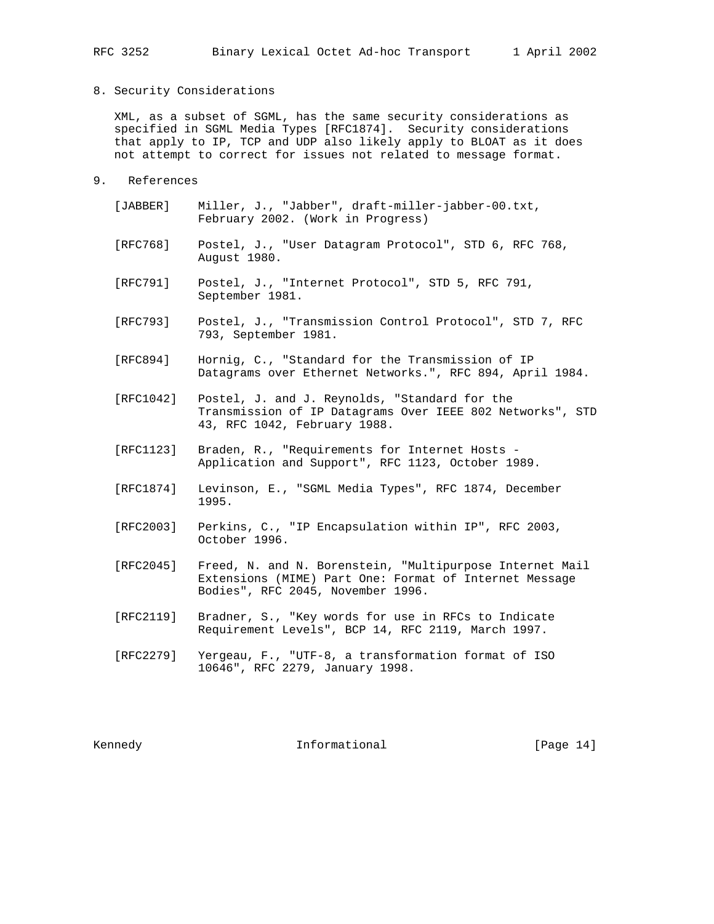### 8. Security Considerations

 XML, as a subset of SGML, has the same security considerations as specified in SGML Media Types [RFC1874]. Security considerations that apply to IP, TCP and UDP also likely apply to BLOAT as it does not attempt to correct for issues not related to message format.

- 9. References
	- [JABBER] Miller, J., "Jabber", draft-miller-jabber-00.txt, February 2002. (Work in Progress)
	- [RFC768] Postel, J., "User Datagram Protocol", STD 6, RFC 768, August 1980.
	- [RFC791] Postel, J., "Internet Protocol", STD 5, RFC 791, September 1981.
	- [RFC793] Postel, J., "Transmission Control Protocol", STD 7, RFC 793, September 1981.
	- [RFC894] Hornig, C., "Standard for the Transmission of IP Datagrams over Ethernet Networks.", RFC 894, April 1984.
	- [RFC1042] Postel, J. and J. Reynolds, "Standard for the Transmission of IP Datagrams Over IEEE 802 Networks", STD 43, RFC 1042, February 1988.
	- [RFC1123] Braden, R., "Requirements for Internet Hosts Application and Support", RFC 1123, October 1989.
	- [RFC1874] Levinson, E., "SGML Media Types", RFC 1874, December 1995.
	- [RFC2003] Perkins, C., "IP Encapsulation within IP", RFC 2003, October 1996.
	- [RFC2045] Freed, N. and N. Borenstein, "Multipurpose Internet Mail Extensions (MIME) Part One: Format of Internet Message Bodies", RFC 2045, November 1996.
	- [RFC2119] Bradner, S., "Key words for use in RFCs to Indicate Requirement Levels", BCP 14, RFC 2119, March 1997.
	- [RFC2279] Yergeau, F., "UTF-8, a transformation format of ISO 10646", RFC 2279, January 1998.

Kennedy **Informational Informational** [Page 14]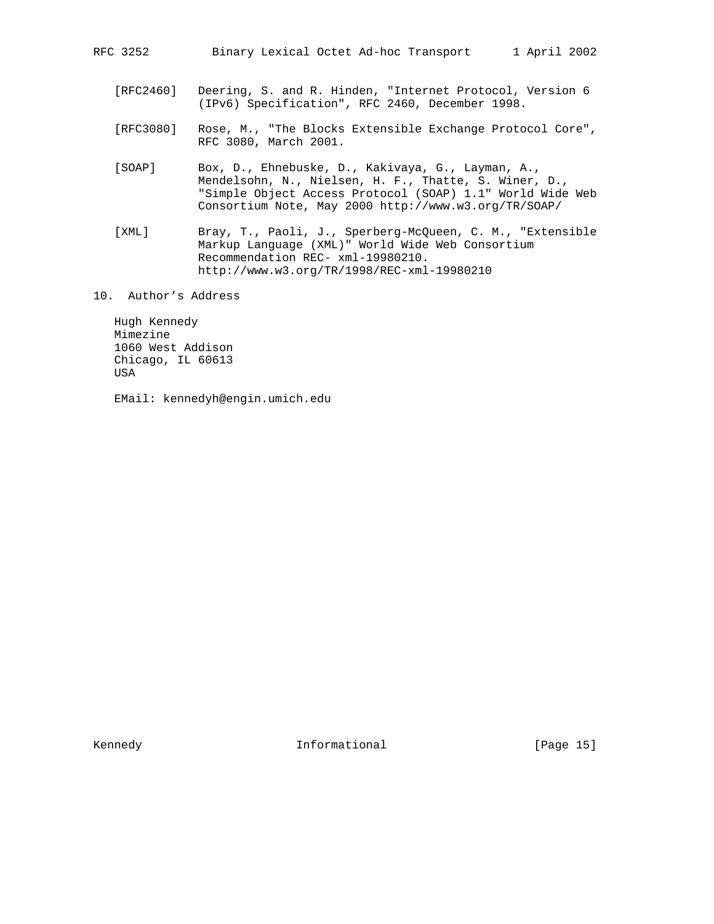RFC 3252 Binary Lexical Octet Ad-hoc Transport 1 April 2002

- [RFC2460] Deering, S. and R. Hinden, "Internet Protocol, Version 6 (IPv6) Specification", RFC 2460, December 1998.
- [RFC3080] Rose, M., "The Blocks Extensible Exchange Protocol Core", RFC 3080, March 2001.
- [SOAP] Box, D., Ehnebuske, D., Kakivaya, G., Layman, A., Mendelsohn, N., Nielsen, H. F., Thatte, S. Winer, D., "Simple Object Access Protocol (SOAP) 1.1" World Wide Web Consortium Note, May 2000 http://www.w3.org/TR/SOAP/
- [XML] Bray, T., Paoli, J., Sperberg-McQueen, C. M., "Extensible Markup Language (XML)" World Wide Web Consortium Recommendation REC- xml-19980210. http://www.w3.org/TR/1998/REC-xml-19980210
- 10. Author's Address

 Hugh Kennedy Mimezine 1060 West Addison Chicago, IL 60613 USA

EMail: kennedyh@engin.umich.edu

Kennedy **Informational Informational** [Page 15]